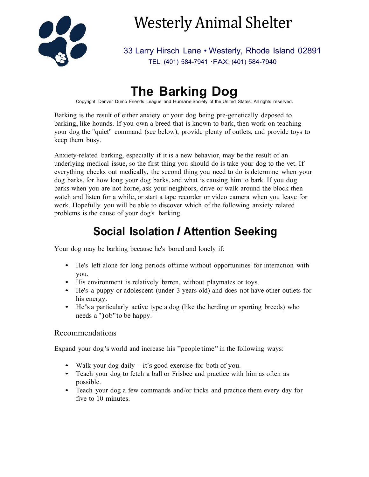

# Westerly Animal Shelter

33 Larry Hirsch Lane • Westerly, Rhode Island 02891 TEL: (401) 584-7941 ·FAX: (401) 584-7940

# **The Barking Dog**

Copyright Denver Dumb Friends League and Humane Society of the United States. All rights reserved.

Barking is the result of either anxiety or your dog being pre-genetically deposed to barking, like hounds. If you own a breed that is known to bark, then work on teaching your dog the "quiet" command (see below), provide plenty of outlets, and provide toys to keep them busy.

Anxiety-related barking, especially if it is a new behavior, may be the result of an underlying medical issue, so the first thing you should do is take your dog to the vet. If everything checks out medically, the second thing you need to do is determine when your dog barks,for how long your dog barks, and what is causing him to bark. If you dog barks when you are not horne, ask your neighbors, drive or walk around the block then watch and listen for <sup>a</sup> while, or start <sup>a</sup> tape recorder or video camera when you leave for work. Hopefully you will be able to discover which of the following anxiety related problems is the cause of your dog's barking.

# **Social Isolation** *I* **Attention Seeking**

Your dog may be barking because he's bored and lonely if:

- He's left alone for long periods oftirne without opportunities for interaction with you.
- His environment is relatively barren, without playmates or toys.
- He's a puppy or adolescent (under 3 years old) and does not have other outlets for his energy.
- He's a particularly active type a dog (like the herding or sporting breeds) who needs <sup>a</sup> ')ob"to be happy.

### Recommendations

Expand your dog's world and increase his "people time"in the following ways:

- Walk your dog daily  $-it$ 's good exercise for both of you.
- Teach your dog to fetch a ball or Frisbee and practice with him as often as possible.
- Teach your dog a few commands and/or tricks and practice them every day for five to 10 minutes.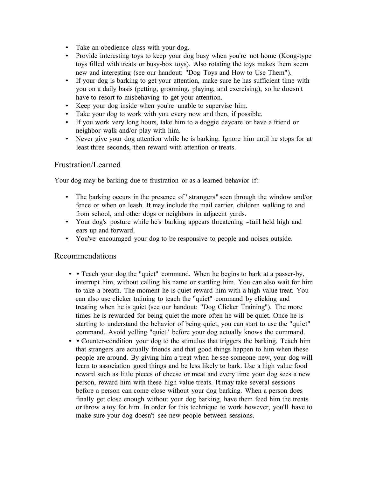- Take an obedience class with your dog.
- Provide interesting toys to keep your dog busy when you're not home (Kong-type toys filled with treats or busy-box toys). Also rotating the toys makes them seem new and interesting (see our handout: "Dog Toys and How to Use Them").
- If your dog is barking to get your attention, make sure he has sufficient time with you on a daily basis (petting, grooming, playing, and exercising), so he doesn't have to resort to misbehaving to get your attention.
- Keep your dog inside when you're unable to supervise him.
- Take your dog to work with you every now and then, if possible.
- If you work very long hours, take him to a doggie daycare or have a friend or neighbor walk and/or play with him.
- Never give your dog attention while he is barking. Ignore him until he stops for at least three seconds, then reward with attention or treats.

#### Frustration/Learned

Your dog may be barking due to frustration or as a learned behavior if:

- The barking occurs in the presence of "strangers" seen through the window and/or fence or when on leash. It may include the mail carrier, children walking to and from school, and other dogs or neighbors in adjacent yards.
- Your dog's posture while he's barking appears threatening -tail held high and ears up and forward.
- You've encouraged your dog to be responsive to people and noises outside.

#### Recommendations

- • Teach your dog the "quiet" command. When he begins to bark at a passer-by, interrupt him, without calling his name or startling him. You can also wait for him to take a breath. The moment he is quiet reward him with a high value treat. You can also use clicker training to teach the "quiet" command by clicking and treating when he is quiet (see our handout: "Dog Clicker Training"). The more times he is rewarded for being quiet the more often he will be quiet. Once he is starting to understand the behavior of being quiet, you can start to use the "quiet" command. Avoid yelling "quiet" before your dog actually knows the command.
- • Counter-condition your dog to the stimulus that triggers the barking. Teach him that strangers are actually friends and that good things happen to him when these people are around. By giving him a treat when he see someone new, your dog will learn to association good things and be less likely to bark. Use a high value food reward such as little pieces of cheese or meat and every time your dog sees a new person, reward him with these high value treats. It may take several sessions before a person can come close without your dog barking. When a person does finally get close enough without your dog barking, have them feed him the treats or throw a toy for him. In order for this technique to work however, you'll have to make sure your dog doesn't see new people between sessions.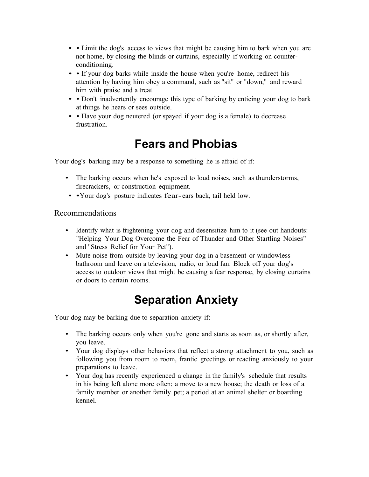- • Limit the dog's access to views that might be causing him to bark when you are not home, by closing the blinds or curtains, especially if working on counterconditioning.
- • If your dog barks while inside the house when you're home, redirect his attention by having him obey a command, such as "sit" or "down," and reward him with praise and a treat.
- • Don't inadvertently encourage this type of barking by enticing your dog to bark at things he hears or sees outside.
- • Have your dog neutered (or spayed if your dog is a female) to decrease frustration.

### **Fears and Phobias**

Your dog's barking may be a response to something he is afraid of if:

- The barking occurs when he's exposed to loud noises, such as thunderstorms, firecrackers, or construction equipment.
- •Your dog's posture indicates fear-ears back, tail held low.

### Recommendations

- Identify what is frightening your dog and desensitize him to it (see out handouts: "Helping Your Dog Overcome the Fear of Thunder and Other Startling Noises" and "Stress Relief for Your Pet").
- Mute noise from outside by leaving your dog in a basement or windowless bathroom and leave on a television, radio, or loud fan. Block off your dog's access to outdoor views that might be causing a fear response, by closing curtains or doors to certain rooms.

# **Separation Anxiety**

Your dog may be barking due to separation anxiety if:

- The barking occurs only when you're gone and starts as soon as, or shortly after, you leave.
- Your dog displays other behaviors that reflect a strong attachment to you, such as following you from room to room, frantic greetings or reacting anxiously to your preparations to leave.
- Your dog has recently experienced a change in the family's schedule that results in his being left alone more often; a move to a new house; the death or loss of a family member or another family pet; a period at an animal shelter or boarding kennel.